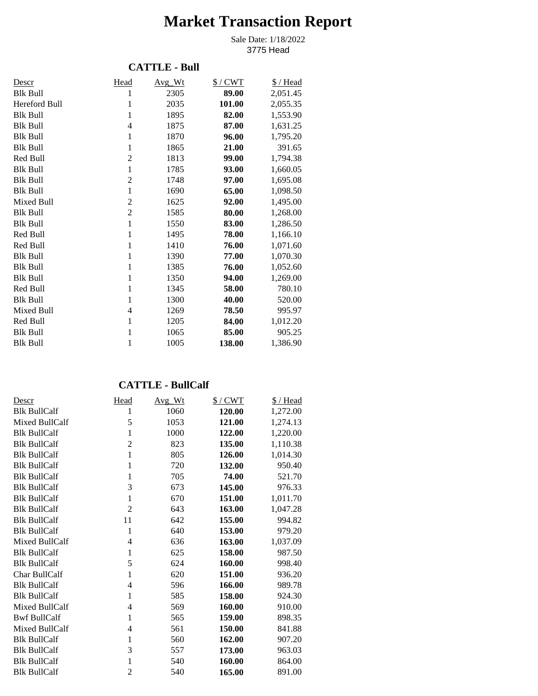# **Market Transaction Report**

3775 Head Sale Date: 1/18/2022

## **CATTLE - Bull**

| Descr           | Head           | Avg Wt | $$/$ CWT | \$/Head  |
|-----------------|----------------|--------|----------|----------|
| <b>Blk Bull</b> | 1              | 2305   | 89.00    | 2,051.45 |
| Hereford Bull   | 1              | 2035   | 101.00   | 2,055.35 |
| <b>Blk Bull</b> | 1              | 1895   | 82.00    | 1,553.90 |
| <b>Blk Bull</b> | $\overline{4}$ | 1875   | 87.00    | 1,631.25 |
| <b>Blk Bull</b> | $\mathbf{1}$   | 1870   | 96.00    | 1,795.20 |
| <b>Blk Bull</b> | 1              | 1865   | 21.00    | 391.65   |
| Red Bull        | $\overline{2}$ | 1813   | 99.00    | 1,794.38 |
| <b>Blk Bull</b> | $\mathbf{1}$   | 1785   | 93.00    | 1,660.05 |
| <b>Blk Bull</b> | $\overline{c}$ | 1748   | 97.00    | 1,695.08 |
| <b>Blk Bull</b> | $\mathbf{1}$   | 1690   | 65.00    | 1,098.50 |
| Mixed Bull      | $\overline{2}$ | 1625   | 92.00    | 1,495.00 |
| <b>Blk Bull</b> | $\overline{2}$ | 1585   | 80.00    | 1,268.00 |
| <b>Blk Bull</b> | $\mathbf{1}$   | 1550   | 83.00    | 1,286.50 |
| Red Bull        | $\mathbf{1}$   | 1495   | 78.00    | 1,166.10 |
| Red Bull        | $\mathbf{1}$   | 1410   | 76.00    | 1,071.60 |
| <b>Blk Bull</b> | 1              | 1390   | 77.00    | 1,070.30 |
| <b>Blk Bull</b> | $\mathbf{1}$   | 1385   | 76.00    | 1,052.60 |
| <b>Blk Bull</b> | $\mathbf{1}$   | 1350   | 94.00    | 1,269.00 |
| Red Bull        | 1              | 1345   | 58.00    | 780.10   |
| <b>Blk Bull</b> | 1              | 1300   | 40.00    | 520.00   |
| Mixed Bull      | 4              | 1269   | 78.50    | 995.97   |
| Red Bull        | 1              | 1205   | 84.00    | 1,012.20 |
| <b>Blk Bull</b> | 1              | 1065   | 85.00    | 905.25   |
| <b>Blk Bull</b> | 1              | 1005   | 138.00   | 1,386.90 |

## **CATTLE - BullCalf**

| Descr               | Head           | $Avg_Wt$ | $$/$ CWT | \$/Head  |
|---------------------|----------------|----------|----------|----------|
| <b>Blk BullCalf</b> | 1              | 1060     | 120.00   | 1,272.00 |
| Mixed BullCalf      | 5              | 1053     | 121.00   | 1,274.13 |
| <b>Blk BullCalf</b> | 1              | 1000     | 122.00   | 1,220.00 |
| <b>Blk BullCalf</b> | $\overline{2}$ | 823      | 135.00   | 1,110.38 |
| <b>Blk BullCalf</b> | $\mathbf 1$    | 805      | 126.00   | 1,014.30 |
| <b>Blk BullCalf</b> | 1              | 720      | 132.00   | 950.40   |
| <b>Blk BullCalf</b> | 1              | 705      | 74.00    | 521.70   |
| <b>Blk BullCalf</b> | 3              | 673      | 145.00   | 976.33   |
| <b>Blk BullCalf</b> | 1              | 670      | 151.00   | 1,011.70 |
| <b>Blk BullCalf</b> | $\overline{2}$ | 643      | 163.00   | 1,047.28 |
| <b>Blk BullCalf</b> | 11             | 642      | 155.00   | 994.82   |
| <b>Blk BullCalf</b> | 1              | 640      | 153.00   | 979.20   |
| Mixed BullCalf      | $\overline{4}$ | 636      | 163.00   | 1,037.09 |
| <b>Blk BullCalf</b> | 1              | 625      | 158.00   | 987.50   |
| <b>Blk BullCalf</b> | 5              | 624      | 160.00   | 998.40   |
| Char BullCalf       | 1              | 620      | 151.00   | 936.20   |
| <b>Blk BullCalf</b> | 4              | 596      | 166.00   | 989.78   |
| <b>Blk BullCalf</b> | 1              | 585      | 158.00   | 924.30   |
| Mixed BullCalf      | 4              | 569      | 160.00   | 910.00   |
| <b>Bwf BullCalf</b> | 1              | 565      | 159.00   | 898.35   |
| Mixed BullCalf      | 4              | 561      | 150.00   | 841.88   |
| <b>Blk BullCalf</b> | 1              | 560      | 162.00   | 907.20   |
| <b>Blk BullCalf</b> | 3              | 557      | 173.00   | 963.03   |
| <b>Blk BullCalf</b> | 1              | 540      | 160.00   | 864.00   |
| <b>Blk BullCalf</b> | $\overline{2}$ | 540      | 165.00   | 891.00   |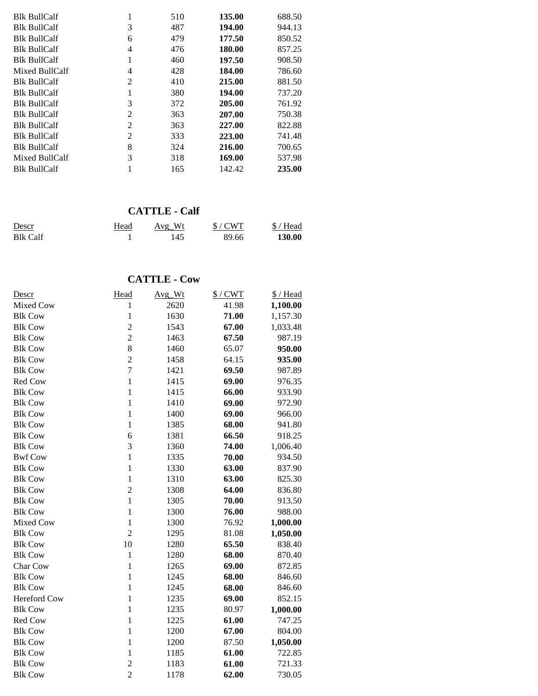| <b>Blk BullCalf</b> |                | 510 | 135.00 | 688.50 |
|---------------------|----------------|-----|--------|--------|
| <b>Blk BullCalf</b> | 3              | 487 | 194.00 | 944.13 |
| <b>Blk BullCalf</b> | 6              | 479 | 177.50 | 850.52 |
| <b>Blk BullCalf</b> | 4              | 476 | 180.00 | 857.25 |
| <b>Blk BullCalf</b> |                | 460 | 197.50 | 908.50 |
| Mixed BullCalf      | 4              | 428 | 184.00 | 786.60 |
| <b>Blk BullCalf</b> | $\mathfrak{D}$ | 410 | 215.00 | 881.50 |
| <b>Blk BullCalf</b> |                | 380 | 194.00 | 737.20 |
| <b>Blk BullCalf</b> | 3              | 372 | 205.00 | 761.92 |
| <b>Blk BullCalf</b> | 2              | 363 | 207.00 | 750.38 |
| <b>Blk BullCalf</b> | $\overline{2}$ | 363 | 227.00 | 822.88 |
| <b>Blk BullCalf</b> | $\overline{c}$ | 333 | 223.00 | 741.48 |
| <b>Blk BullCalf</b> | 8              | 324 | 216.00 | 700.65 |
| Mixed BullCalf      | 3              | 318 | 169.00 | 537.98 |
| <b>Blk BullCalf</b> |                | 165 | 142.42 | 235.00 |

#### **CATTLE - Calf**

| Descr           | Head | Avg Wt | S/CWT | $$/$ Head |
|-----------------|------|--------|-------|-----------|
| <b>Blk Calf</b> |      | 145    | 89.66 | 130.00    |

## **CATTLE - Cow**

| Descr          | Head           | Avg_Wt | $$/$ CWT | \$/Head  |
|----------------|----------------|--------|----------|----------|
| Mixed Cow      | 1              | 2620   | 41.98    | 1,100.00 |
| <b>Blk Cow</b> | $\mathbf{1}$   | 1630   | 71.00    | 1,157.30 |
| <b>Blk Cow</b> | $\overline{c}$ | 1543   | 67.00    | 1,033.48 |
| <b>Blk Cow</b> | $\overline{c}$ | 1463   | 67.50    | 987.19   |
| <b>Blk Cow</b> | 8              | 1460   | 65.07    | 950.00   |
| <b>Blk Cow</b> | $\overline{2}$ | 1458   | 64.15    | 935.00   |
| <b>Blk Cow</b> | $\overline{7}$ | 1421   | 69.50    | 987.89   |
| Red Cow        | $\mathbf{1}$   | 1415   | 69.00    | 976.35   |
| <b>Blk Cow</b> | $\mathbf{1}$   | 1415   | 66.00    | 933.90   |
| <b>Blk Cow</b> | $\mathbf{1}$   | 1410   | 69.00    | 972.90   |
| <b>Blk Cow</b> | $\mathbf{1}$   | 1400   | 69.00    | 966.00   |
| <b>Blk Cow</b> | $\mathbf{1}$   | 1385   | 68.00    | 941.80   |
| <b>Blk Cow</b> | 6              | 1381   | 66.50    | 918.25   |
| <b>Blk Cow</b> | 3              | 1360   | 74.00    | 1,006.40 |
| <b>Bwf Cow</b> | $\mathbf{1}$   | 1335   | 70.00    | 934.50   |
| <b>Blk Cow</b> | $\mathbf{1}$   | 1330   | 63.00    | 837.90   |
| <b>Blk Cow</b> | $\mathbf{1}$   | 1310   | 63.00    | 825.30   |
| <b>Blk Cow</b> | $\overline{2}$ | 1308   | 64.00    | 836.80   |
| <b>Blk Cow</b> | $\mathbf{1}$   | 1305   | 70.00    | 913.50   |
| <b>Blk Cow</b> | $\mathbf{1}$   | 1300   | 76.00    | 988.00   |
| Mixed Cow      | $\mathbf{1}$   | 1300   | 76.92    | 1,000.00 |
| <b>Blk Cow</b> | $\overline{2}$ | 1295   | 81.08    | 1,050.00 |
| <b>Blk Cow</b> | 10             | 1280   | 65.50    | 838.40   |
| <b>Blk Cow</b> | $\mathbf{1}$   | 1280   | 68.00    | 870.40   |
| Char Cow       | 1              | 1265   | 69.00    | 872.85   |
| <b>Blk Cow</b> | $\mathbf{1}$   | 1245   | 68.00    | 846.60   |
| <b>Blk Cow</b> | $\mathbf{1}$   | 1245   | 68.00    | 846.60   |
| Hereford Cow   | $\mathbf{1}$   | 1235   | 69.00    | 852.15   |
| <b>Blk Cow</b> | $\mathbf{1}$   | 1235   | 80.97    | 1,000.00 |
| Red Cow        | $\mathbf{1}$   | 1225   | 61.00    | 747.25   |
| <b>Blk Cow</b> | $\mathbf{1}$   | 1200   | 67.00    | 804.00   |
| <b>Blk Cow</b> | $\mathbf{1}$   | 1200   | 87.50    | 1,050.00 |
| <b>Blk Cow</b> | 1              | 1185   | 61.00    | 722.85   |
| <b>Blk Cow</b> | $\overline{c}$ | 1183   | 61.00    | 721.33   |
| <b>Blk Cow</b> | $\overline{2}$ | 1178   | 62.00    | 730.05   |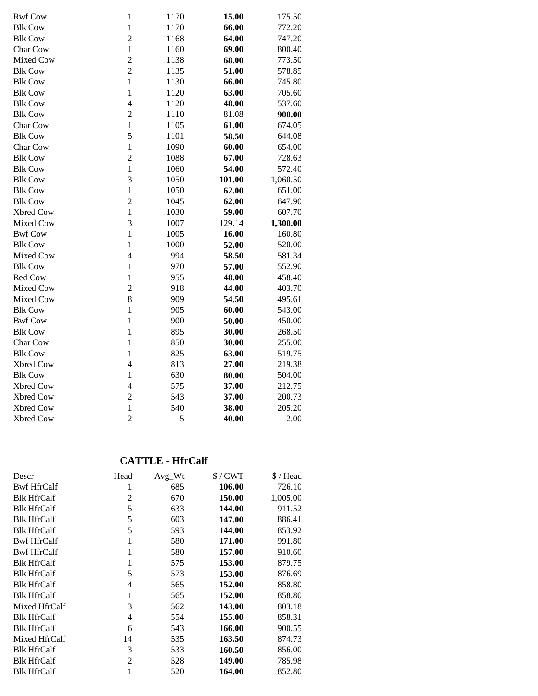| <b>Rwf Cow</b>         | $\mathbf{1}$                   | 1170     | 15.00          | 175.50         |
|------------------------|--------------------------------|----------|----------------|----------------|
| <b>Blk Cow</b>         | $\mathbf{1}$                   | 1170     | 66.00          | 772.20         |
| <b>Blk Cow</b>         | $\overline{2}$                 | 1168     | 64.00          | 747.20         |
| Char Cow               | $\mathbf{1}$                   | 1160     | 69.00          | 800.40         |
| Mixed Cow              | $\overline{c}$                 | 1138     | 68.00          | 773.50         |
| <b>Blk Cow</b>         | $\overline{2}$                 | 1135     | 51.00          | 578.85         |
| <b>Blk Cow</b>         | $\mathbf{1}$                   | 1130     | 66.00          | 745.80         |
| <b>Blk Cow</b>         | $\mathbf{1}$                   | 1120     | 63.00          | 705.60         |
| <b>Blk Cow</b>         | $\overline{4}$                 | 1120     | 48.00          | 537.60         |
| <b>Blk Cow</b>         | $\overline{c}$                 | 1110     | 81.08          | 900.00         |
| Char Cow               | $\mathbf{1}$                   | 1105     | 61.00          | 674.05         |
| <b>Blk Cow</b>         | 5                              | 1101     | 58.50          | 644.08         |
| Char Cow               | $\mathbf{1}$                   | 1090     | 60.00          | 654.00         |
| <b>Blk Cow</b>         | $\overline{c}$                 | 1088     | 67.00          | 728.63         |
| <b>Blk Cow</b>         | $\mathbf{1}$                   | 1060     | 54.00          | 572.40         |
| <b>Blk Cow</b>         | 3                              | 1050     | 101.00         | 1,060.50       |
| <b>Blk Cow</b>         | $\mathbf{1}$                   | 1050     | 62.00          | 651.00         |
| <b>Blk Cow</b>         | $\overline{2}$                 | 1045     | 62.00          | 647.90         |
| Xbred Cow              | $\mathbf{1}$                   | 1030     | 59.00          | 607.70         |
| Mixed Cow              | 3                              | 1007     | 129.14         | 1,300.00       |
| <b>Bwf Cow</b>         | $\mathbf{1}$                   | 1005     | 16.00          | 160.80         |
|                        |                                |          |                |                |
| <b>Blk Cow</b>         | $\mathbf{1}$                   | 1000     | 52.00          | 520.00         |
| Mixed Cow              | $\overline{4}$                 | 994      | 58.50          | 581.34         |
| <b>Blk Cow</b>         | $\mathbf{1}$                   | 970      | 57.00          | 552.90         |
| Red Cow                | $\mathbf{1}$                   | 955      | 48.00          | 458.40         |
| Mixed Cow              | $\overline{c}$                 | 918      | 44.00          | 403.70         |
| Mixed Cow              | 8                              | 909      | 54.50          | 495.61         |
| <b>Blk Cow</b>         | $\mathbf{1}$                   | 905      | 60.00          | 543.00         |
| <b>Bwf Cow</b>         | $\mathbf{1}$                   | 900      | 50.00          | 450.00         |
| <b>Blk Cow</b>         | $\mathbf{1}$                   | 895      | 30.00          | 268.50         |
| Char Cow               | $\mathbf{1}$                   | 850      | 30.00          | 255.00         |
| <b>Blk Cow</b>         | $\mathbf{1}$                   | 825      | 63.00          | 519.75         |
| Xbred Cow              | $\overline{4}$                 | 813      | 27.00          | 219.38         |
| <b>Blk Cow</b>         | $\mathbf{1}$                   | 630      | 80.00          | 504.00         |
| Xbred Cow              | $\overline{4}$                 | 575      | 37.00          | 212.75         |
| <b>Xbred Cow</b>       | $\overline{c}$                 | 543      | 37.00          | 200.73         |
| Xbred Cow<br>Xbred Cow | $\mathbf{1}$<br>$\overline{c}$ | 540<br>5 | 38.00<br>40.00 | 205.20<br>2.00 |

# **CATTLE - HfrCalf**

| Descr              | Head | Avg Wt | $\frac{1}{2}$ / CWT | \$ / Head |
|--------------------|------|--------|---------------------|-----------|
| <b>Bwf HfrCalf</b> |      | 685    | 106.00              | 726.10    |
| <b>Blk HfrCalf</b> | 2    | 670    | 150.00              | 1,005.00  |
| <b>Blk HfrCalf</b> | 5    | 633    | 144.00              | 911.52    |
| <b>Blk HfrCalf</b> | 5    | 603    | 147.00              | 886.41    |
| <b>Blk HfrCalf</b> | 5    | 593    | 144.00              | 853.92    |
| <b>Bwf HfrCalf</b> | 1    | 580    | 171.00              | 991.80    |
| <b>Bwf HfrCalf</b> | 1    | 580    | 157.00              | 910.60    |
| <b>Blk HfrCalf</b> | 1    | 575    | 153.00              | 879.75    |
| <b>Blk HfrCalf</b> | 5    | 573    | 153.00              | 876.69    |
| <b>Blk HfrCalf</b> | 4    | 565    | 152.00              | 858.80    |
| <b>Blk HfrCalf</b> | 1    | 565    | 152.00              | 858.80    |
| Mixed HfrCalf      | 3    | 562    | 143.00              | 803.18    |
| <b>Blk HfrCalf</b> | 4    | 554    | 155.00              | 858.31    |
| <b>Blk HfrCalf</b> | 6    | 543    | 166.00              | 900.55    |
| Mixed HfrCalf      | 14   | 535    | 163.50              | 874.73    |
| <b>Blk HfrCalf</b> | 3    | 533    | 160.50              | 856.00    |
| <b>Blk HfrCalf</b> | 2    | 528    | 149.00              | 785.98    |
| <b>Blk HfrCalf</b> | 1    | 520    | 164.00              | 852.80    |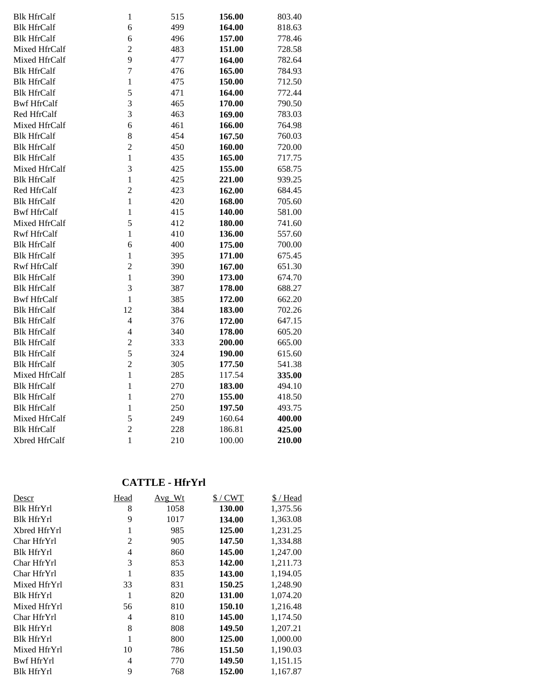| <b>Blk HfrCalf</b> | $\mathbf{1}$   | 515 | 156.00 | 803.40 |
|--------------------|----------------|-----|--------|--------|
| <b>Blk HfrCalf</b> | 6              | 499 | 164.00 | 818.63 |
| <b>Blk HfrCalf</b> | 6              | 496 | 157.00 | 778.46 |
| Mixed HfrCalf      | $\overline{c}$ | 483 | 151.00 | 728.58 |
| Mixed HfrCalf      | 9              | 477 | 164.00 | 782.64 |
| <b>Blk HfrCalf</b> | $\overline{7}$ | 476 | 165.00 | 784.93 |
| <b>Blk HfrCalf</b> | $\mathbf 1$    | 475 | 150.00 | 712.50 |
| <b>Blk HfrCalf</b> | 5              | 471 | 164.00 | 772.44 |
| <b>Bwf HfrCalf</b> | 3              | 465 | 170.00 | 790.50 |
| Red HfrCalf        | 3              | 463 | 169.00 | 783.03 |
| Mixed HfrCalf      | 6              | 461 | 166.00 | 764.98 |
| <b>Blk HfrCalf</b> | 8              | 454 | 167.50 | 760.03 |
| <b>Blk HfrCalf</b> | $\overline{c}$ | 450 | 160.00 | 720.00 |
| <b>Blk HfrCalf</b> | $\mathbf{1}$   | 435 | 165.00 | 717.75 |
| Mixed HfrCalf      | 3              | 425 | 155.00 | 658.75 |
| <b>Blk HfrCalf</b> | $\mathbf{1}$   | 425 | 221.00 | 939.25 |
| Red HfrCalf        | $\overline{2}$ | 423 | 162.00 | 684.45 |
| <b>Blk HfrCalf</b> | $\mathbf{1}$   | 420 | 168.00 | 705.60 |
| <b>Bwf HfrCalf</b> | $\mathbf{1}$   | 415 | 140.00 | 581.00 |
| Mixed HfrCalf      | 5              | 412 | 180.00 | 741.60 |
| <b>Rwf HfrCalf</b> | $\mathbf 1$    | 410 | 136.00 | 557.60 |
| <b>Blk HfrCalf</b> | 6              | 400 | 175.00 | 700.00 |
| <b>Blk HfrCalf</b> | $\mathbf{1}$   | 395 | 171.00 | 675.45 |
| <b>Rwf HfrCalf</b> | $\overline{c}$ | 390 | 167.00 | 651.30 |
| <b>Blk HfrCalf</b> | $\mathbf{1}$   | 390 | 173.00 | 674.70 |
| <b>Blk HfrCalf</b> | 3              | 387 | 178.00 | 688.27 |
| <b>Bwf HfrCalf</b> | $\mathbf{1}$   | 385 | 172.00 | 662.20 |
| <b>Blk HfrCalf</b> | 12             | 384 | 183.00 | 702.26 |
| <b>Blk HfrCalf</b> | $\overline{4}$ | 376 | 172.00 | 647.15 |
| <b>Blk HfrCalf</b> | $\overline{4}$ | 340 | 178.00 | 605.20 |
| <b>Blk HfrCalf</b> | $\overline{c}$ | 333 | 200.00 | 665.00 |
| <b>Blk HfrCalf</b> | 5              | 324 | 190.00 | 615.60 |
| <b>Blk HfrCalf</b> | $\overline{c}$ | 305 | 177.50 | 541.38 |
| Mixed HfrCalf      | $\mathbf{1}$   | 285 | 117.54 | 335.00 |
| <b>Blk HfrCalf</b> | $\mathbf 1$    | 270 | 183.00 | 494.10 |
| <b>Blk HfrCalf</b> | $\mathbf{1}$   | 270 | 155.00 | 418.50 |
| <b>Blk HfrCalf</b> | $\mathbf{1}$   | 250 | 197.50 | 493.75 |
| Mixed HfrCalf      | 5              | 249 | 160.64 | 400.00 |
| <b>Blk HfrCalf</b> | $\overline{2}$ | 228 | 186.81 | 425.00 |
| Xbred HfrCalf      | $\mathbf{1}$   | 210 | 100.00 | 210.00 |

### **CATTLE - HfrYrl**

| Descr             | Head           | $Avg_Wt$ | $$/$ CWT | \$/Head  |
|-------------------|----------------|----------|----------|----------|
| <b>Blk HfrYrl</b> | 8              | 1058     | 130.00   | 1,375.56 |
| <b>Blk HfrYrl</b> | 9              | 1017     | 134.00   | 1,363.08 |
| Xbred HfrYrl      | 1              | 985      | 125.00   | 1,231.25 |
| Char HfrYrl       | $\overline{c}$ | 905      | 147.50   | 1,334.88 |
| <b>Blk HfrYrl</b> | 4              | 860      | 145.00   | 1,247.00 |
| Char HfrYrl       | 3              | 853      | 142.00   | 1,211.73 |
| Char HfrYrl       | 1              | 835      | 143.00   | 1,194.05 |
| Mixed HfrYrl      | 33             | 831      | 150.25   | 1,248.90 |
| <b>Blk HfrYrl</b> | 1              | 820      | 131.00   | 1,074.20 |
| Mixed HfrYrl      | 56             | 810      | 150.10   | 1,216.48 |
| Char HfrYrl       | 4              | 810      | 145.00   | 1,174.50 |
| <b>Blk HfrYrl</b> | 8              | 808      | 149.50   | 1,207.21 |
| <b>Blk HfrYrl</b> | 1              | 800      | 125.00   | 1,000.00 |
| Mixed HfrYrl      | 10             | 786      | 151.50   | 1,190.03 |
| Bwf HfrYrl        | 4              | 770      | 149.50   | 1,151.15 |
| <b>Blk HfrYrl</b> | 9              | 768      | 152.00   | 1,167.87 |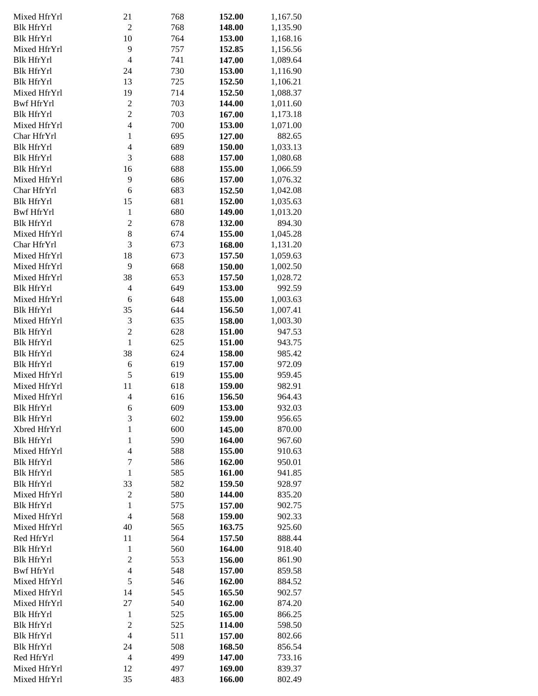| Mixed HfrYrl      | 21             | 768 | 152.00 | 1,167.50 |
|-------------------|----------------|-----|--------|----------|
| <b>Blk HfrYrl</b> | $\overline{2}$ | 768 | 148.00 | 1,135.90 |
| <b>Blk HfrYrl</b> | 10             | 764 | 153.00 | 1,168.16 |
| Mixed HfrYrl      | 9              | 757 | 152.85 | 1,156.56 |
| <b>Blk HfrYrl</b> | $\overline{4}$ | 741 | 147.00 | 1,089.64 |
| <b>Blk HfrYrl</b> | 24             | 730 | 153.00 | 1,116.90 |
| <b>Blk HfrYrl</b> | 13             | 725 |        |          |
|                   |                |     | 152.50 | 1,106.21 |
| Mixed HfrYrl      | 19             | 714 | 152.50 | 1,088.37 |
| <b>Bwf HfrYrl</b> | $\overline{c}$ | 703 | 144.00 | 1,011.60 |
| <b>Blk HfrYrl</b> | $\overline{2}$ | 703 | 167.00 | 1,173.18 |
| Mixed HfrYrl      | $\overline{4}$ | 700 | 153.00 | 1,071.00 |
| Char HfrYrl       | $\mathbf{1}$   | 695 | 127.00 | 882.65   |
| <b>Blk HfrYrl</b> | $\overline{4}$ | 689 | 150.00 | 1,033.13 |
| <b>Blk HfrYrl</b> | 3              | 688 | 157.00 | 1,080.68 |
| <b>Blk HfrYrl</b> | 16             | 688 | 155.00 | 1,066.59 |
| Mixed HfrYrl      | 9              | 686 | 157.00 | 1,076.32 |
| Char HfrYrl       | 6              | 683 | 152.50 | 1,042.08 |
| <b>Blk HfrYrl</b> | 15             | 681 | 152.00 | 1,035.63 |
| <b>Bwf HfrYrl</b> | $\mathbf{1}$   | 680 | 149.00 | 1,013.20 |
| <b>Blk HfrYrl</b> | $\overline{c}$ | 678 | 132.00 | 894.30   |
| Mixed HfrYrl      | 8              | 674 | 155.00 |          |
|                   |                |     |        | 1,045.28 |
| Char HfrYrl       | 3              | 673 | 168.00 | 1,131.20 |
| Mixed HfrYrl      | 18             | 673 | 157.50 | 1,059.63 |
| Mixed HfrYrl      | 9              | 668 | 150.00 | 1,002.50 |
| Mixed HfrYrl      | 38             | 653 | 157.50 | 1,028.72 |
| <b>Blk HfrYrl</b> | $\overline{4}$ | 649 | 153.00 | 992.59   |
| Mixed HfrYrl      | 6              | 648 | 155.00 | 1,003.63 |
| <b>Blk HfrYrl</b> | 35             | 644 | 156.50 | 1,007.41 |
| Mixed HfrYrl      | $\mathfrak{Z}$ | 635 | 158.00 | 1,003.30 |
| <b>Blk HfrYrl</b> | $\overline{c}$ | 628 | 151.00 | 947.53   |
| <b>Blk HfrYrl</b> | $\mathbf{1}$   | 625 | 151.00 | 943.75   |
| <b>Blk HfrYrl</b> | 38             | 624 | 158.00 | 985.42   |
| <b>Blk HfrYrl</b> | 6              | 619 | 157.00 | 972.09   |
| Mixed HfrYrl      | 5              | 619 | 155.00 | 959.45   |
| Mixed HfrYrl      | 11             | 618 | 159.00 | 982.91   |
| Mixed HfrYrl      | $\overline{4}$ | 616 | 156.50 | 964.43   |
| <b>Blk HfrYrl</b> |                |     | 153.00 |          |
|                   | 6              | 609 |        | 932.03   |
| <b>Blk HfrYrl</b> | 3              | 602 | 159.00 | 956.65   |
| Xbred HfrYrl      | $\mathbf{1}$   | 600 | 145.00 | 870.00   |
| <b>Blk HfrYrl</b> | $\mathbf{1}$   | 590 | 164.00 | 967.60   |
| Mixed HfrYrl      | $\overline{4}$ | 588 | 155.00 | 910.63   |
| <b>Blk HfrYrl</b> | $\overline{7}$ | 586 | 162.00 | 950.01   |
| <b>Blk HfrYrl</b> | $\mathbf{1}$   | 585 | 161.00 | 941.85   |
| <b>Blk HfrYrl</b> | 33             | 582 | 159.50 | 928.97   |
| Mixed HfrYrl      | $\overline{c}$ | 580 | 144.00 | 835.20   |
| <b>Blk HfrYrl</b> | $\mathbf{1}$   | 575 | 157.00 | 902.75   |
| Mixed HfrYrl      | $\overline{4}$ | 568 | 159.00 | 902.33   |
| Mixed HfrYrl      | 40             | 565 | 163.75 | 925.60   |
| Red HfrYrl        | 11             | 564 | 157.50 | 888.44   |
| <b>Blk HfrYrl</b> | $\mathbf{1}$   | 560 | 164.00 | 918.40   |
| <b>Blk HfrYrl</b> | $\overline{2}$ | 553 | 156.00 | 861.90   |
| <b>Bwf HfrYrl</b> | $\overline{4}$ | 548 | 157.00 | 859.58   |
|                   |                |     |        |          |
| Mixed HfrYrl      | 5              | 546 | 162.00 | 884.52   |
| Mixed HfrYrl      | 14             | 545 | 165.50 | 902.57   |
| Mixed HfrYrl      | 27             | 540 | 162.00 | 874.20   |
| Blk HfrYrl        | $\mathbf{1}$   | 525 | 165.00 | 866.25   |
| Blk HfrYrl        | $\overline{2}$ | 525 | 114.00 | 598.50   |
| Blk HfrYrl        | $\overline{4}$ | 511 | 157.00 | 802.66   |
| Blk HfrYrl        | 24             | 508 | 168.50 | 856.54   |
| Red HfrYrl        | $\overline{4}$ | 499 | 147.00 | 733.16   |
| Mixed HfrYrl      | 12             | 497 | 169.00 | 839.37   |
| Mixed HfrYrl      | 35             | 483 | 166.00 | 802.49   |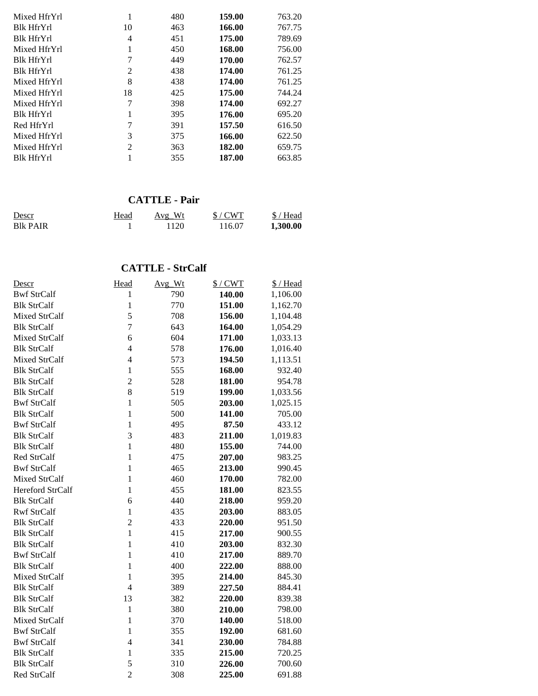| Mixed HfrYrl      |                | 480 | 159.00 | 763.20 |
|-------------------|----------------|-----|--------|--------|
| <b>Blk HfrYrl</b> | 10             | 463 | 166.00 | 767.75 |
| <b>Blk HfrYrl</b> | 4              | 451 | 175.00 | 789.69 |
| Mixed HfrYrl      | 1              | 450 | 168.00 | 756.00 |
| <b>Blk HfrYrl</b> | 7              | 449 | 170.00 | 762.57 |
| <b>Blk HfrYrl</b> | 2              | 438 | 174.00 | 761.25 |
| Mixed HfrYrl      | 8              | 438 | 174.00 | 761.25 |
| Mixed HfrYrl      | 18             | 425 | 175.00 | 744.24 |
| Mixed HfrYrl      | 7              | 398 | 174.00 | 692.27 |
| <b>Blk HfrYrl</b> |                | 395 | 176.00 | 695.20 |
| Red HfrYrl        | 7              | 391 | 157.50 | 616.50 |
| Mixed HfrYrl      | 3              | 375 | 166.00 | 622.50 |
| Mixed HfrYrl      | $\mathfrak{D}$ | 363 | 182.00 | 659.75 |
| <b>Blk HfrYrl</b> |                | 355 | 187.00 | 663.85 |

# **CATTLE - Pair**

| Descr            | Head | Avg Wt | $$/$ CWT | $$/$ Head |
|------------------|------|--------|----------|-----------|
| <b>B</b> lk PAIR |      | 1120   | 116.07   | 1,300.00  |

## **CATTLE - StrCalf**

| <u>Descr</u>       | Head           | Avg_Wt | $$/$ CWT | \$/Head  |
|--------------------|----------------|--------|----------|----------|
| <b>Bwf StrCalf</b> | 1              | 790    | 140.00   | 1,106.00 |
| <b>Blk StrCalf</b> | $\mathbf{1}$   | 770    | 151.00   | 1,162.70 |
| Mixed StrCalf      | 5              | 708    | 156.00   | 1,104.48 |
| <b>Blk StrCalf</b> | $\overline{7}$ | 643    | 164.00   | 1,054.29 |
| Mixed StrCalf      | 6              | 604    | 171.00   | 1,033.13 |
| <b>Blk StrCalf</b> | $\overline{4}$ | 578    | 176.00   | 1,016.40 |
| Mixed StrCalf      | $\overline{4}$ | 573    | 194.50   | 1,113.51 |
| <b>Blk StrCalf</b> | $\mathbf{1}$   | 555    | 168.00   | 932.40   |
| <b>Blk StrCalf</b> | $\overline{c}$ | 528    | 181.00   | 954.78   |
| <b>Blk StrCalf</b> | 8              | 519    | 199.00   | 1,033.56 |
| <b>Bwf StrCalf</b> | $\mathbf{1}$   | 505    | 203.00   | 1,025.15 |
| <b>Blk StrCalf</b> | $\mathbf{1}$   | 500    | 141.00   | 705.00   |
| <b>Bwf StrCalf</b> | $\mathbf{1}$   | 495    | 87.50    | 433.12   |
| <b>Blk StrCalf</b> | 3              | 483    | 211.00   | 1,019.83 |
| <b>Blk StrCalf</b> | $\mathbf{1}$   | 480    | 155.00   | 744.00   |
| Red StrCalf        | $\mathbf{1}$   | 475    | 207.00   | 983.25   |
| <b>Bwf StrCalf</b> | $\mathbf{1}$   | 465    | 213.00   | 990.45   |
| Mixed StrCalf      | $\mathbf{1}$   | 460    | 170.00   | 782.00   |
| Hereford StrCalf   | $\mathbf{1}$   | 455    | 181.00   | 823.55   |
| <b>Blk StrCalf</b> | 6              | 440    | 218.00   | 959.20   |
| <b>Rwf StrCalf</b> | $\mathbf{1}$   | 435    | 203.00   | 883.05   |
| <b>Blk StrCalf</b> | $\overline{c}$ | 433    | 220.00   | 951.50   |
| <b>Blk StrCalf</b> | $\mathbf{1}$   | 415    | 217.00   | 900.55   |
| <b>Blk StrCalf</b> | $\mathbf{1}$   | 410    | 203.00   | 832.30   |
| <b>Bwf StrCalf</b> | $\mathbf{1}$   | 410    | 217.00   | 889.70   |
| <b>Blk StrCalf</b> | $\mathbf{1}$   | 400    | 222.00   | 888.00   |
| Mixed StrCalf      | $\mathbf{1}$   | 395    | 214.00   | 845.30   |
| <b>Blk StrCalf</b> | $\overline{4}$ | 389    | 227.50   | 884.41   |
| <b>Blk StrCalf</b> | 13             | 382    | 220.00   | 839.38   |
| <b>Blk StrCalf</b> | $\mathbf{1}$   | 380    | 210.00   | 798.00   |
| Mixed StrCalf      | $\mathbf{1}$   | 370    | 140.00   | 518.00   |
| <b>Bwf StrCalf</b> | $\mathbf{1}$   | 355    | 192.00   | 681.60   |
| <b>Bwf StrCalf</b> | $\overline{4}$ | 341    | 230.00   | 784.88   |
| <b>Blk StrCalf</b> | $\mathbf{1}$   | 335    | 215.00   | 720.25   |
| <b>Blk StrCalf</b> | 5              | 310    | 226.00   | 700.60   |
| Red StrCalf        | $\overline{2}$ | 308    | 225.00   | 691.88   |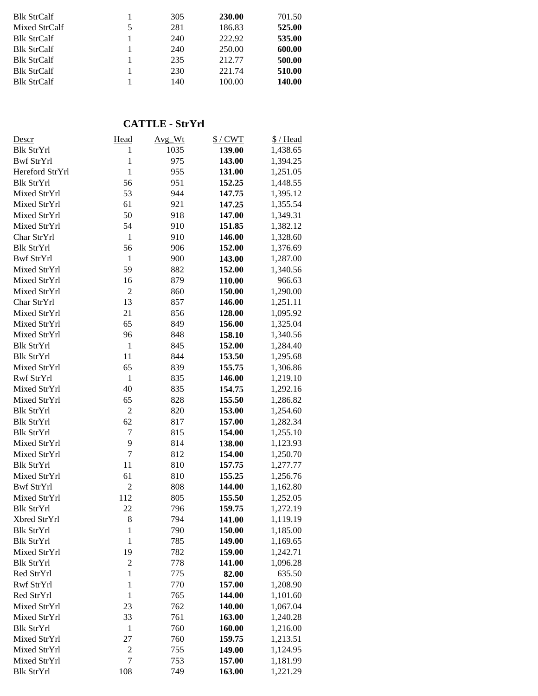| 525.00 |
|--------|
| 535.00 |
| 600.00 |
| 500.00 |
| 510.00 |
| 140.00 |
|        |

## **CATTLE - StrYrl**

| Descr             | Head           | Avg_Wt | $$/$ CWT | \$/Head  |
|-------------------|----------------|--------|----------|----------|
| <b>Blk StrYrl</b> | 1              | 1035   | 139.00   | 1,438.65 |
| <b>Bwf StrYrl</b> | $\mathbf{1}$   | 975    | 143.00   | 1,394.25 |
| Hereford StrYrl   | $\mathbf{1}$   | 955    | 131.00   | 1,251.05 |
| <b>Blk StrYrl</b> | 56             | 951    | 152.25   | 1,448.55 |
| Mixed StrYrl      | 53             | 944    | 147.75   | 1,395.12 |
| Mixed StrYrl      | 61             | 921    | 147.25   | 1,355.54 |
| Mixed StrYrl      | 50             | 918    | 147.00   | 1,349.31 |
| Mixed StrYrl      | 54             | 910    | 151.85   | 1,382.12 |
| Char StrYrl       | $\mathbf{1}$   | 910    | 146.00   | 1,328.60 |
| <b>Blk StrYrl</b> | 56             | 906    | 152.00   | 1,376.69 |
| <b>Bwf StrYrl</b> | $\mathbf{1}$   | 900    | 143.00   | 1,287.00 |
| Mixed StrYrl      | 59             | 882    | 152.00   | 1,340.56 |
| Mixed StrYrl      | 16             | 879    | 110.00   | 966.63   |
| Mixed StrYrl      | $\overline{2}$ | 860    | 150.00   | 1,290.00 |
| Char StrYrl       | 13             | 857    | 146.00   | 1,251.11 |
| Mixed StrYrl      | 21             | 856    | 128.00   | 1,095.92 |
| Mixed StrYrl      | 65             | 849    | 156.00   | 1,325.04 |
| Mixed StrYrl      | 96             | 848    | 158.10   | 1,340.56 |
| <b>Blk StrYrl</b> | $\mathbf{1}$   | 845    | 152.00   | 1,284.40 |
| <b>Blk StrYrl</b> | 11             | 844    | 153.50   | 1,295.68 |
| Mixed StrYrl      | 65             | 839    | 155.75   | 1,306.86 |
| Rwf StrYrl        | $\,1\,$        | 835    | 146.00   | 1,219.10 |
| Mixed StrYrl      | 40             | 835    | 154.75   | 1,292.16 |
| Mixed StrYrl      | 65             | 828    | 155.50   | 1,286.82 |
| <b>Blk StrYrl</b> | $\overline{2}$ | 820    | 153.00   | 1,254.60 |
| <b>Blk StrYrl</b> | 62             | 817    | 157.00   | 1,282.34 |
| <b>Blk StrYrl</b> | 7              | 815    | 154.00   | 1,255.10 |
| Mixed StrYrl      | 9              | 814    | 138.00   | 1,123.93 |
| Mixed StrYrl      | $\overline{7}$ | 812    | 154.00   | 1,250.70 |
| <b>Blk StrYrl</b> | 11             | 810    | 157.75   | 1,277.77 |
| Mixed StrYrl      | 61             | 810    | 155.25   | 1,256.76 |
| <b>Bwf StrYrl</b> | $\overline{2}$ | 808    | 144.00   | 1,162.80 |
| Mixed StrYrl      | 112            | 805    | 155.50   | 1,252.05 |
| <b>Blk StrYrl</b> | 22             | 796    | 159.75   | 1,272.19 |
| Xbred StrYrl      | 8              | 794    | 141.00   | 1,119.19 |
| <b>Blk StrYrl</b> | 1              | 790    | 150.00   | 1,185.00 |
| <b>Blk StrYrl</b> | $\mathbf{1}$   | 785    | 149.00   | 1,169.65 |
| Mixed StrYrl      | 19             | 782    | 159.00   | 1,242.71 |
| <b>Blk StrYrl</b> | $\overline{c}$ | 778    | 141.00   | 1,096.28 |
| Red StrYrl        | $\mathbf{1}$   | 775    | 82.00    | 635.50   |
| Rwf StrYrl        | $\mathbf{1}$   | 770    | 157.00   | 1,208.90 |
| Red StrYrl        | $\mathbf{1}$   | 765    | 144.00   | 1,101.60 |
| Mixed StrYrl      | 23             | 762    | 140.00   | 1,067.04 |
| Mixed StrYrl      | 33             | 761    | 163.00   | 1,240.28 |
| <b>Blk StrYrl</b> | $\mathbf{1}$   | 760    | 160.00   | 1,216.00 |
| Mixed StrYrl      | 27             | 760    | 159.75   | 1,213.51 |
| Mixed StrYrl      | $\overline{c}$ | 755    | 149.00   | 1,124.95 |
| Mixed StrYrl      | 7              | 753    | 157.00   | 1,181.99 |
| <b>Blk StrYrl</b> | 108            | 749    | 163.00   | 1,221.29 |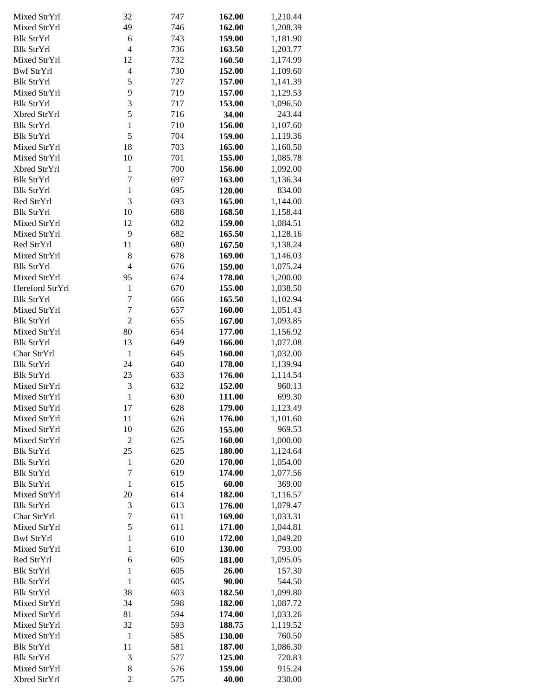| Mixed StrYrl      | 32               | 747 | 162.00 | 1,210.44 |
|-------------------|------------------|-----|--------|----------|
| Mixed StrYrl      | 49               | 746 | 162.00 | 1,208.39 |
|                   |                  |     |        |          |
| <b>Blk StrYrl</b> | 6                | 743 | 159.00 | 1,181.90 |
| <b>Blk StrYrl</b> | $\overline{4}$   | 736 | 163.50 | 1,203.77 |
| Mixed StrYrl      | 12               | 732 | 160.50 | 1,174.99 |
| Bwf StrYrl        | $\overline{4}$   | 730 | 152.00 | 1,109.60 |
| <b>Blk StrYrl</b> | 5                | 727 | 157.00 | 1,141.39 |
| Mixed StrYrl      | 9                | 719 | 157.00 | 1,129.53 |
| <b>Blk StrYrl</b> | 3                | 717 | 153.00 | 1,096.50 |
| Xbred StrYrl      | 5                | 716 | 34.00  | 243.44   |
| <b>Blk StrYrl</b> | $\mathbf{1}$     | 710 | 156.00 | 1,107.60 |
| <b>Blk StrYrl</b> | 5                | 704 | 159.00 | 1,119.36 |
| Mixed StrYrl      | 18               | 703 | 165.00 | 1,160.50 |
| Mixed StrYrl      | 10               | 701 | 155.00 | 1,085.78 |
| Xbred StrYrl      | $\mathbf{1}$     | 700 | 156.00 | 1,092.00 |
| <b>Blk StrYrl</b> | $\overline{7}$   | 697 | 163.00 | 1,136.34 |
|                   | $\mathbf{1}$     |     |        |          |
| <b>Blk StrYrl</b> |                  | 695 | 120.00 | 834.00   |
| Red StrYrl        | 3                | 693 | 165.00 | 1,144.00 |
| <b>Blk StrYrl</b> | 10               | 688 | 168.50 | 1,158.44 |
| Mixed StrYrl      | 12               | 682 | 159.00 | 1,084.51 |
| Mixed StrYrl      | 9                | 682 | 165.50 | 1,128.16 |
| Red StrYrl        | 11               | 680 | 167.50 | 1,138.24 |
| Mixed StrYrl      | 8                | 678 | 169.00 | 1,146.03 |
| <b>Blk StrYrl</b> | $\overline{4}$   | 676 | 159.00 | 1,075.24 |
| Mixed StrYrl      | 95               | 674 | 178.00 | 1,200.00 |
| Hereford StrYrl   | $\mathbf{1}$     | 670 | 155.00 | 1,038.50 |
| <b>Blk StrYrl</b> | 7                | 666 | 165.50 | 1,102.94 |
| Mixed StrYrl      | $\tau$           | 657 | 160.00 | 1,051.43 |
| <b>Blk StrYrl</b> | $\overline{2}$   | 655 | 167.00 | 1,093.85 |
| Mixed StrYrl      | 80               | 654 | 177.00 | 1,156.92 |
| <b>Blk StrYrl</b> | 13               | 649 | 166.00 | 1,077.08 |
| Char StrYrl       | $\mathbf{1}$     | 645 | 160.00 | 1,032.00 |
| <b>Blk StrYrl</b> | 24               | 640 |        |          |
|                   |                  |     | 178.00 | 1,139.94 |
| <b>Blk StrYrl</b> | 23               | 633 | 176.00 | 1,114.54 |
| Mixed StrYrl      | 3                | 632 | 152.00 | 960.13   |
| Mixed StrYrl      | $\mathbf{1}$     | 630 | 111.00 | 699.30   |
| Mixed StrYrl      | 17               | 628 | 179.00 | 1,123.49 |
| Mixed StrYrl      | 11               | 626 | 176.00 | 1,101.60 |
| Mixed StrYrl      | 10               | 626 | 155.00 | 969.53   |
| Mixed StrYrl      | $\boldsymbol{2}$ | 625 | 160.00 | 1,000.00 |
| <b>Blk StrYrl</b> | 25               | 625 | 180.00 | 1,124.64 |
| <b>Blk StrYrl</b> | $\mathbf{1}$     | 620 | 170.00 | 1,054.00 |
| <b>Blk StrYrl</b> | 7                | 619 | 174.00 | 1,077.56 |
| <b>Blk StrYrl</b> | $\mathbf{1}$     | 615 | 60.00  | 369.00   |
| Mixed StrYrl      | 20               | 614 | 182.00 | 1,116.57 |
| <b>Blk StrYrl</b> | $\mathfrak{Z}$   | 613 | 176.00 | 1,079.47 |
| Char StrYrl       | $\boldsymbol{7}$ | 611 | 169.00 | 1,033.31 |
| Mixed StrYrl      | 5                | 611 | 171.00 | 1,044.81 |
| <b>Bwf StrYrl</b> | $\mathbf{1}$     | 610 | 172.00 | 1,049.20 |
| Mixed StrYrl      | $\mathbf{1}$     | 610 | 130.00 | 793.00   |
|                   |                  |     |        |          |
| Red StrYrl        | 6                | 605 | 181.00 | 1,095.05 |
| <b>Blk StrYrl</b> | $\mathbf{1}$     | 605 | 26.00  | 157.30   |
| <b>Blk StrYrl</b> | $\mathbf{1}$     | 605 | 90.00  | 544.50   |
| <b>Blk StrYrl</b> | 38               | 603 | 182.50 | 1,099.80 |
| Mixed StrYrl      | 34               | 598 | 182.00 | 1,087.72 |
| Mixed StrYrl      | 81               | 594 | 174.00 | 1,033.26 |
| Mixed StrYrl      | 32               | 593 | 188.75 | 1,119.52 |
| Mixed StrYrl      | $\mathbf{1}$     | 585 | 130.00 | 760.50   |
| <b>Blk StrYrl</b> | 11               | 581 | 187.00 | 1,086.30 |
| <b>Blk StrYrl</b> | 3                | 577 | 125.00 | 720.83   |
| Mixed StrYrl      | $\,$ 8 $\,$      | 576 | 159.00 | 915.24   |
| Xbred StrYrl      | $\overline{c}$   | 575 | 40.00  | 230.00   |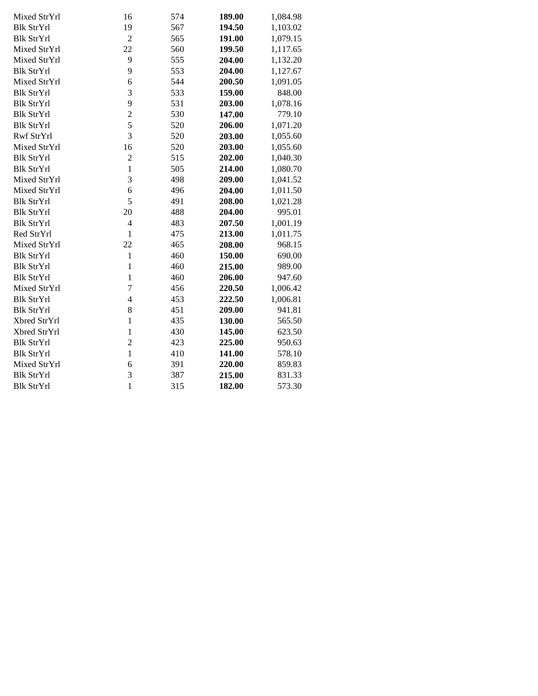| Mixed StrYrl      | 16             | 574 | 189.00 | 1,084.98 |
|-------------------|----------------|-----|--------|----------|
| <b>Blk StrYrl</b> | 19             | 567 | 194.50 | 1,103.02 |
| <b>Blk StrYrl</b> | $\overline{2}$ | 565 | 191.00 | 1,079.15 |
| Mixed StrYrl      | 22             | 560 | 199.50 | 1,117.65 |
| Mixed StrYrl      | 9              | 555 | 204.00 | 1,132.20 |
| <b>Blk StrYrl</b> | 9              | 553 | 204.00 | 1,127.67 |
| Mixed StrYrl      | 6              | 544 | 200.50 | 1,091.05 |
| <b>Blk StrYrl</b> | 3              | 533 | 159.00 | 848.00   |
| <b>Blk StrYrl</b> | 9              | 531 | 203.00 | 1,078.16 |
| <b>Blk StrYrl</b> | $\overline{c}$ | 530 | 147.00 | 779.10   |
| <b>Blk StrYrl</b> | 5              | 520 | 206.00 | 1,071.20 |
| Rwf StrYrl        | 3              | 520 | 203.00 | 1,055.60 |
| Mixed StrYrl      | 16             | 520 | 203.00 | 1,055.60 |
| <b>Blk StrYrl</b> | $\overline{c}$ | 515 | 202.00 | 1,040.30 |
| <b>Blk StrYrl</b> | $\mathbf{1}$   | 505 | 214.00 | 1,080.70 |
| Mixed StrYrl      | 3              | 498 | 209.00 | 1,041.52 |
| Mixed StrYrl      | 6              | 496 | 204.00 | 1,011.50 |
| <b>Blk StrYrl</b> | 5              | 491 | 208.00 | 1,021.28 |
| <b>Blk StrYrl</b> | 20             | 488 | 204.00 | 995.01   |
| <b>Blk StrYrl</b> | $\overline{4}$ | 483 | 207.50 | 1,001.19 |
| Red StrYrl        | $\mathbf{1}$   | 475 | 213.00 | 1,011.75 |
| Mixed StrYrl      | 22             | 465 | 208.00 | 968.15   |
| <b>Blk StrYrl</b> | $\mathbf{1}$   | 460 | 150.00 | 690.00   |
| <b>Blk StrYrl</b> | $\mathbf{1}$   | 460 | 215.00 | 989.00   |
| <b>Blk StrYrl</b> | $\mathbf{1}$   | 460 | 206.00 | 947.60   |
| Mixed StrYrl      | $\overline{7}$ | 456 | 220.50 | 1,006.42 |
| <b>Blk StrYrl</b> | $\overline{4}$ | 453 | 222.50 | 1,006.81 |
| <b>Blk StrYrl</b> | 8              | 451 | 209.00 | 941.81   |
| Xbred StrYrl      | $\mathbf{1}$   | 435 | 130.00 | 565.50   |
| Xbred StrYrl      | $\mathbf{1}$   | 430 | 145.00 | 623.50   |
| <b>Blk StrYrl</b> | $\overline{c}$ | 423 | 225.00 | 950.63   |
| <b>Blk StrYrl</b> | $\mathbf{1}$   | 410 | 141.00 | 578.10   |
| Mixed StrYrl      | 6              | 391 | 220.00 | 859.83   |
| <b>Blk StrYrl</b> | 3              | 387 | 215.00 | 831.33   |
| <b>Blk StrYrl</b> | $\mathbf{1}$   | 315 | 182.00 | 573.30   |